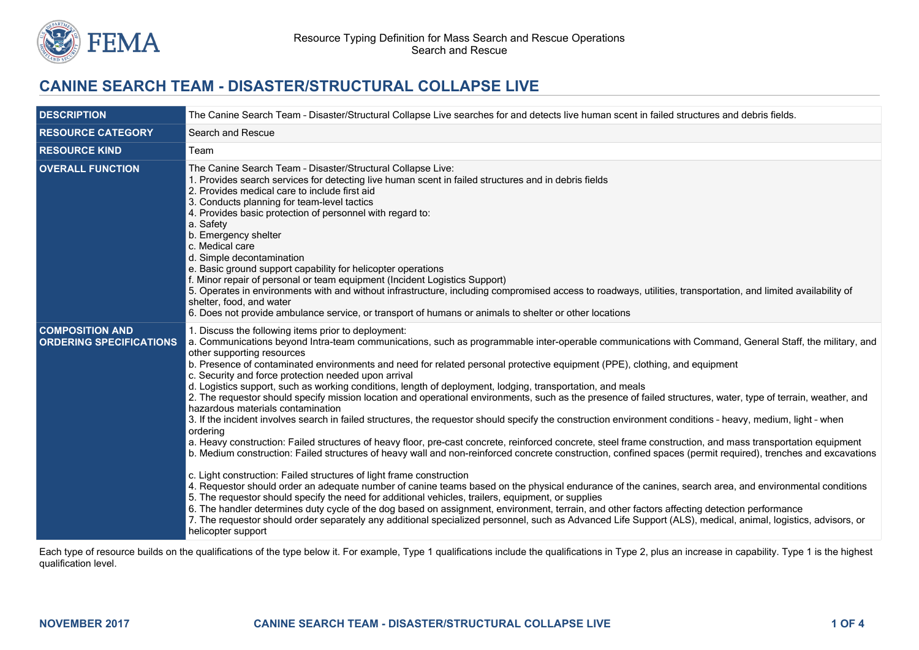

# **CANINE SEARCH TEAM - DISASTER/STRUCTURAL COLLAPSE LIVE**

| <b>DESCRIPTION</b>                                       | The Canine Search Team - Disaster/Structural Collapse Live searches for and detects live human scent in failed structures and debris fields.                                                                                                                                                                                                                                                                                                                                                                                                                                                                                                                                                                                                                                                                                                                                                                                                                                                                                                                                                                                                                                                                                                                                                                                                                                                                                                                                                                                                                                                                                                                                                                                                                                                                                                                                                                                                    |  |  |
|----------------------------------------------------------|-------------------------------------------------------------------------------------------------------------------------------------------------------------------------------------------------------------------------------------------------------------------------------------------------------------------------------------------------------------------------------------------------------------------------------------------------------------------------------------------------------------------------------------------------------------------------------------------------------------------------------------------------------------------------------------------------------------------------------------------------------------------------------------------------------------------------------------------------------------------------------------------------------------------------------------------------------------------------------------------------------------------------------------------------------------------------------------------------------------------------------------------------------------------------------------------------------------------------------------------------------------------------------------------------------------------------------------------------------------------------------------------------------------------------------------------------------------------------------------------------------------------------------------------------------------------------------------------------------------------------------------------------------------------------------------------------------------------------------------------------------------------------------------------------------------------------------------------------------------------------------------------------------------------------------------------------|--|--|
| <b>RESOURCE CATEGORY</b>                                 | Search and Rescue                                                                                                                                                                                                                                                                                                                                                                                                                                                                                                                                                                                                                                                                                                                                                                                                                                                                                                                                                                                                                                                                                                                                                                                                                                                                                                                                                                                                                                                                                                                                                                                                                                                                                                                                                                                                                                                                                                                               |  |  |
| <b>RESOURCE KIND</b>                                     | Team                                                                                                                                                                                                                                                                                                                                                                                                                                                                                                                                                                                                                                                                                                                                                                                                                                                                                                                                                                                                                                                                                                                                                                                                                                                                                                                                                                                                                                                                                                                                                                                                                                                                                                                                                                                                                                                                                                                                            |  |  |
| <b>OVERALL FUNCTION</b>                                  | The Canine Search Team - Disaster/Structural Collapse Live:<br>1. Provides search services for detecting live human scent in failed structures and in debris fields<br>2. Provides medical care to include first aid<br>3. Conducts planning for team-level tactics<br>4. Provides basic protection of personnel with regard to:<br>a. Safety<br>b. Emergency shelter<br>c. Medical care<br>d. Simple decontamination<br>e. Basic ground support capability for helicopter operations<br>f. Minor repair of personal or team equipment (Incident Logistics Support)<br>5. Operates in environments with and without infrastructure, including compromised access to roadways, utilities, transportation, and limited availability of<br>shelter, food, and water<br>6. Does not provide ambulance service, or transport of humans or animals to shelter or other locations                                                                                                                                                                                                                                                                                                                                                                                                                                                                                                                                                                                                                                                                                                                                                                                                                                                                                                                                                                                                                                                                      |  |  |
| <b>COMPOSITION AND</b><br><b>ORDERING SPECIFICATIONS</b> | 1. Discuss the following items prior to deployment:<br>a. Communications beyond Intra-team communications, such as programmable inter-operable communications with Command, General Staff, the military, and<br>other supporting resources<br>b. Presence of contaminated environments and need for related personal protective equipment (PPE), clothing, and equipment<br>c. Security and force protection needed upon arrival<br>d. Logistics support, such as working conditions, length of deployment, lodging, transportation, and meals<br>2. The requestor should specify mission location and operational environments, such as the presence of failed structures, water, type of terrain, weather, and<br>hazardous materials contamination<br>3. If the incident involves search in failed structures, the requestor should specify the construction environment conditions - heavy, medium, light - when<br>ordering<br>a. Heavy construction: Failed structures of heavy floor, pre-cast concrete, reinforced concrete, steel frame construction, and mass transportation equipment<br>b. Medium construction: Failed structures of heavy wall and non-reinforced concrete construction, confined spaces (permit required), trenches and excavations<br>c. Light construction: Failed structures of light frame construction<br>4. Requestor should order an adequate number of canine teams based on the physical endurance of the canines, search area, and environmental conditions<br>5. The requestor should specify the need for additional vehicles, trailers, equipment, or supplies<br>6. The handler determines duty cycle of the dog based on assignment, environment, terrain, and other factors affecting detection performance<br>7. The requestor should order separately any additional specialized personnel, such as Advanced Life Support (ALS), medical, animal, logistics, advisors, or<br>helicopter support |  |  |

Each type of resource builds on the qualifications of the type below it. For example, Type 1 qualifications include the qualifications in Type 2, plus an increase in capability. Type 1 is the highest qualification level.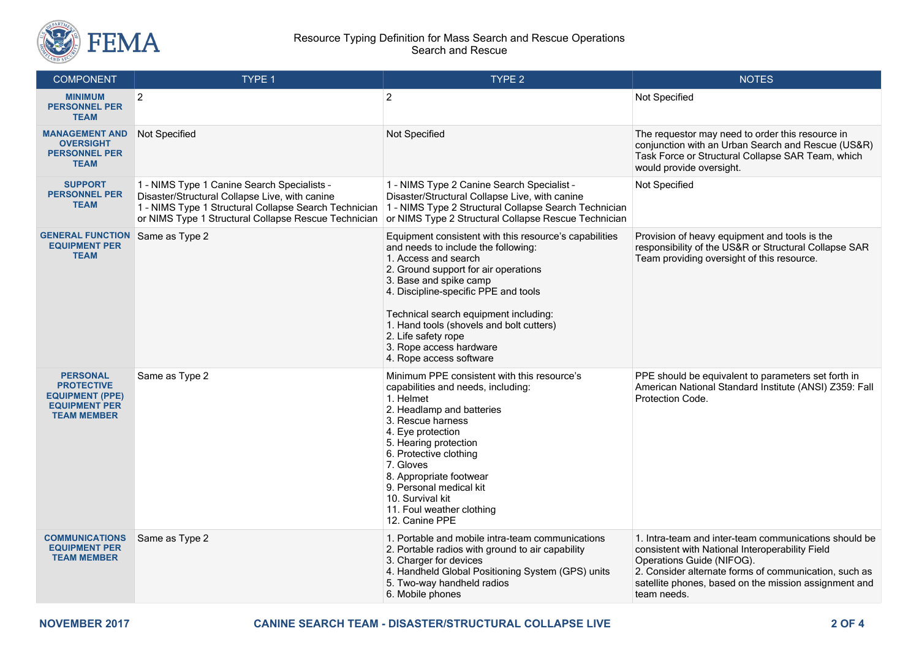

#### Resource Typing Definition for Mass Search and Rescue Operations Search and Rescue

| <b>COMPONENT</b>                                                                                             | <b>TYPE 1</b>                                                                                                                                                                                                  | TYPE <sub>2</sub>                                                                                                                                                                                                                                                                                                                                                                                 | <b>NOTES</b>                                                                                                                                                                                                                                                           |
|--------------------------------------------------------------------------------------------------------------|----------------------------------------------------------------------------------------------------------------------------------------------------------------------------------------------------------------|---------------------------------------------------------------------------------------------------------------------------------------------------------------------------------------------------------------------------------------------------------------------------------------------------------------------------------------------------------------------------------------------------|------------------------------------------------------------------------------------------------------------------------------------------------------------------------------------------------------------------------------------------------------------------------|
| <b>MINIMUM</b><br><b>PERSONNEL PER</b><br><b>TEAM</b>                                                        | $\overline{2}$                                                                                                                                                                                                 | $\overline{2}$                                                                                                                                                                                                                                                                                                                                                                                    | Not Specified                                                                                                                                                                                                                                                          |
| <b>MANAGEMENT AND</b><br><b>OVERSIGHT</b><br><b>PERSONNEL PER</b><br><b>TEAM</b>                             | <b>Not Specified</b>                                                                                                                                                                                           | Not Specified                                                                                                                                                                                                                                                                                                                                                                                     | The requestor may need to order this resource in<br>conjunction with an Urban Search and Rescue (US&R)<br>Task Force or Structural Collapse SAR Team, which<br>would provide oversight.                                                                                |
| <b>SUPPORT</b><br><b>PERSONNEL PER</b><br><b>TEAM</b>                                                        | 1 - NIMS Type 1 Canine Search Specialists -<br>Disaster/Structural Collapse Live, with canine<br>1 - NIMS Type 1 Structural Collapse Search Technician<br>or NIMS Type 1 Structural Collapse Rescue Technician | 1 - NIMS Type 2 Canine Search Specialist -<br>Disaster/Structural Collapse Live, with canine<br>1 - NIMS Type 2 Structural Collapse Search Technician<br>or NIMS Type 2 Structural Collapse Rescue Technician                                                                                                                                                                                     | Not Specified                                                                                                                                                                                                                                                          |
| <b>GENERAL FUNCTION</b> Same as Type 2<br><b>EQUIPMENT PER</b><br><b>TEAM</b>                                |                                                                                                                                                                                                                | Equipment consistent with this resource's capabilities<br>and needs to include the following:<br>1. Access and search<br>2. Ground support for air operations<br>3. Base and spike camp<br>4. Discipline-specific PPE and tools<br>Technical search equipment including:<br>1. Hand tools (shovels and bolt cutters)<br>2. Life safety rope<br>3. Rope access hardware<br>4. Rope access software | Provision of heavy equipment and tools is the<br>responsibility of the US&R or Structural Collapse SAR<br>Team providing oversight of this resource.                                                                                                                   |
| <b>PERSONAL</b><br><b>PROTECTIVE</b><br><b>EQUIPMENT (PPE)</b><br><b>EQUIPMENT PER</b><br><b>TEAM MEMBER</b> | Same as Type 2                                                                                                                                                                                                 | Minimum PPE consistent with this resource's<br>capabilities and needs, including:<br>1. Helmet<br>2. Headlamp and batteries<br>3. Rescue harness<br>4. Eye protection<br>5. Hearing protection<br>6. Protective clothing<br>7. Gloves<br>8. Appropriate footwear<br>9. Personal medical kit<br>10. Survival kit<br>11. Foul weather clothing<br>12. Canine PPE                                    | PPE should be equivalent to parameters set forth in<br>American National Standard Institute (ANSI) Z359: Fall<br>Protection Code.                                                                                                                                      |
| <b>COMMUNICATIONS</b><br><b>EQUIPMENT PER</b><br><b>TEAM MEMBER</b>                                          | Same as Type 2                                                                                                                                                                                                 | 1. Portable and mobile intra-team communications<br>2. Portable radios with ground to air capability<br>3. Charger for devices<br>4. Handheld Global Positioning System (GPS) units<br>5. Two-way handheld radios<br>6. Mobile phones                                                                                                                                                             | 1. Intra-team and inter-team communications should be<br>consistent with National Interoperability Field<br>Operations Guide (NIFOG).<br>2. Consider alternate forms of communication, such as<br>satellite phones, based on the mission assignment and<br>team needs. |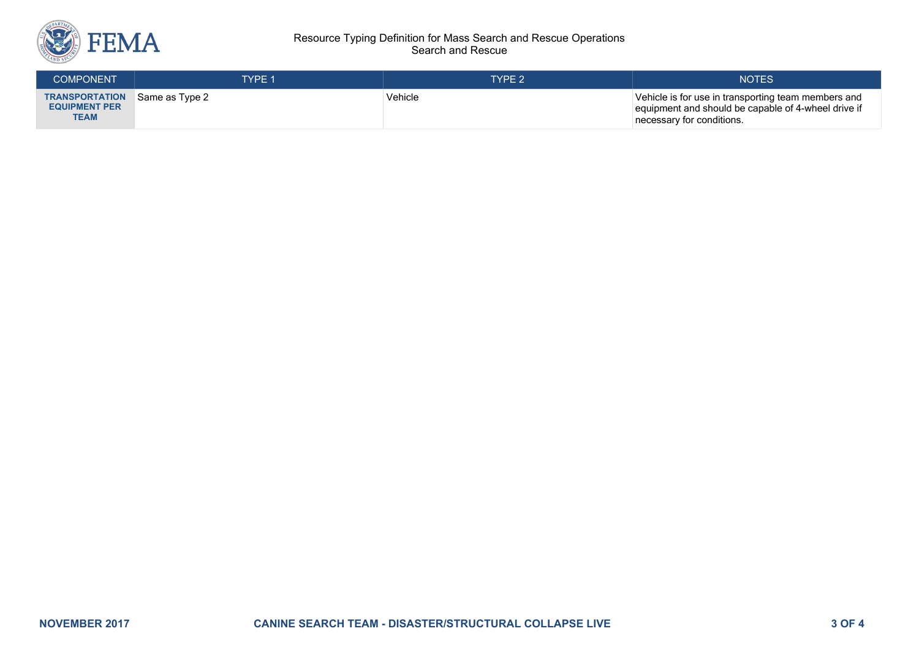

#### Resource Typing Definition for Mass Search and Rescue Operations Search and Rescue

| <b>COMPONENT</b>                                             | <b>TYPE 1</b>  | TYPE 2  | <b>NOTES</b>                                                                                                                            |
|--------------------------------------------------------------|----------------|---------|-----------------------------------------------------------------------------------------------------------------------------------------|
| <b>TRANSPORTATION</b><br><b>EQUIPMENT PER</b><br><b>TEAM</b> | Same as Type 2 | Vehicle | Vehicle is for use in transporting team members and<br>equipment and should be capable of 4-wheel drive if<br>necessary for conditions. |